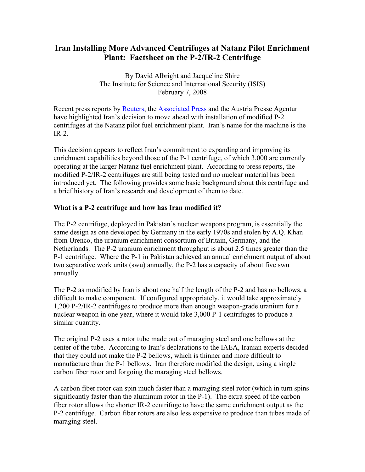## **Iran Installing More Advanced Centrifuges at Natanz Pilot Enrichment Plant: Factsheet on the P-2/IR-2 Centrifuge**

By David Albright and Jacqueline Shire The Institute for Science and International Security (ISIS) February 7, 2008

Recent press reports by [Reuters,](http://www.reuters.com/article/newsOne/idUSL0683928820080206) the [Associated Press](http://ap.google.com/article/ALeqM5jHz-Bz3Pa0Ivga_oNIvTbrBoIN7QD8ULJNKO0) and the Austria Presse Agentur have highlighted Iran's decision to move ahead with installation of modified P-2 centrifuges at the Natanz pilot fuel enrichment plant. Iran's name for the machine is the  $IR-2$ 

This decision appears to reflect Iran's commitment to expanding and improving its enrichment capabilities beyond those of the P-1 centrifuge, of which 3,000 are currently operating at the larger Natanz fuel enrichment plant. According to press reports, the modified P-2/IR-2 centrifuges are still being tested and no nuclear material has been introduced yet. The following provides some basic background about this centrifuge and a brief history of Iran's research and development of them to date.

## **What is a P-2 centrifuge and how has Iran modified it?**

The P-2 centrifuge, deployed in Pakistan's nuclear weapons program, is essentially the same design as one developed by Germany in the early 1970s and stolen by A.Q. Khan from Urenco, the uranium enrichment consortium of Britain, Germany, and the Netherlands. The P-2 uranium enrichment throughput is about 2.5 times greater than the P-1 centrifuge. Where the P-1 in Pakistan achieved an annual enrichment output of about two separative work units (swu) annually, the P-2 has a capacity of about five swu annually.

The P-2 as modified by Iran is about one half the length of the P-2 and has no bellows, a difficult to make component. If configured appropriately, it would take approximately 1,200 P-2/IR-2 centrifuges to produce more than enough weapon-grade uranium for a nuclear weapon in one year, where it would take 3,000 P-1 centrifuges to produce a similar quantity.

The original P-2 uses a rotor tube made out of maraging steel and one bellows at the center of the tube. According to Iran's declarations to the IAEA, Iranian experts decided that they could not make the P-2 bellows, which is thinner and more difficult to manufacture than the P-1 bellows. Iran therefore modified the design, using a single carbon fiber rotor and forgoing the maraging steel bellows.

A carbon fiber rotor can spin much faster than a maraging steel rotor (which in turn spins significantly faster than the aluminum rotor in the P-1). The extra speed of the carbon fiber rotor allows the shorter IR-2 centrifuge to have the same enrichment output as the P-2 centrifuge. Carbon fiber rotors are also less expensive to produce than tubes made of maraging steel.